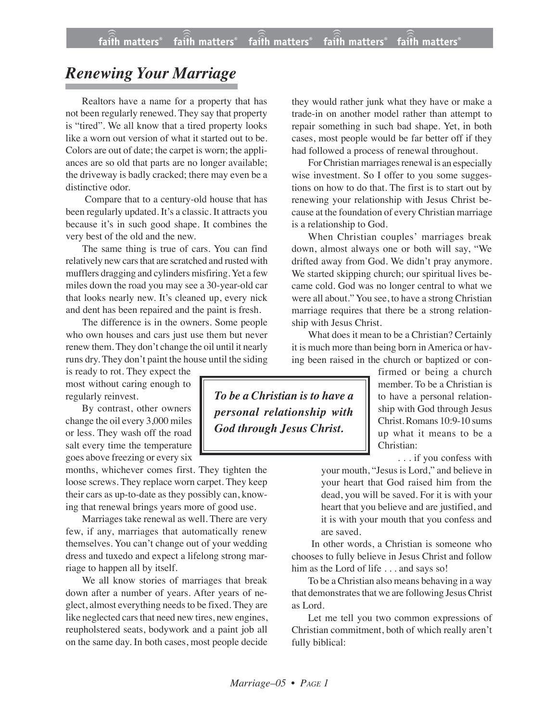## *Renewing Your Marriage*

Realtors have a name for a property that has not been regularly renewed. They say that property is "tired". We all know that a tired property looks like a worn out version of what it started out to be. Colors are out of date; the carpet is worn; the appliances are so old that parts are no longer available; the driveway is badly cracked; there may even be a distinctive odor.

Compare that to a century-old house that has been regularly updated. It's a classic. It attracts you because it's in such good shape. It combines the very best of the old and the new.

The same thing is true of cars. You can find relatively new cars that are scratched and rusted with mufflers dragging and cylinders misfiring. Yet a few miles down the road you may see a 30-year-old car that looks nearly new. It's cleaned up, every nick and dent has been repaired and the paint is fresh.

The difference is in the owners. Some people who own houses and cars just use them but never renew them. They don't change the oil until it nearly runs dry. They don't paint the house until the siding

is ready to rot. They expect the most without caring enough to regularly reinvest.

By contrast, other owners change the oil every 3,000 miles or less. They wash off the road salt every time the temperature goes above freezing or every six

months, whichever comes first. They tighten the loose screws. They replace worn carpet. They keep their cars as up-to-date as they possibly can, knowing that renewal brings years more of good use.

Marriages take renewal as well. There are very few, if any, marriages that automatically renew themselves. You can't change out of your wedding dress and tuxedo and expect a lifelong strong marriage to happen all by itself.

We all know stories of marriages that break down after a number of years. After years of neglect, almost everything needs to be fixed. They are like neglected cars that need new tires, new engines, reupholstered seats, bodywork and a paint job all on the same day. In both cases, most people decide

they would rather junk what they have or make a trade-in on another model rather than attempt to repair something in such bad shape. Yet, in both cases, most people would be far better off if they had followed a process of renewal throughout.

For Christian marriages renewal is an especially wise investment. So I offer to you some suggestions on how to do that. The first is to start out by renewing your relationship with Jesus Christ because at the foundation of every Christian marriage is a relationship to God.

When Christian couples' marriages break down, almost always one or both will say, "We drifted away from God. We didn't pray anymore. We started skipping church; our spiritual lives became cold. God was no longer central to what we were all about." You see, to have a strong Christian marriage requires that there be a strong relationship with Jesus Christ.

What does it mean to be a Christian? Certainly it is much more than being born in America or having been raised in the church or baptized or con-

firmed or being a church member. To be a Christian is to have a personal relationship with God through Jesus Christ.Romans 10:9-10 sums up what it means to be a Christian:

. . . if you confess with

your mouth, "Jesus is Lord," and believe in your heart that God raised him from the dead, you will be saved. For it is with your heart that you believe and are justified, and it is with your mouth that you confess and are saved.

In other words, a Christian is someone who chooses to fully believe in Jesus Christ and follow him as the Lord of life . . . and says so!

To be a Christian also means behaving in a way that demonstrates that we are following Jesus Christ as Lord.

Let me tell you two common expressions of Christian commitment, both of which really aren't fully biblical:

*To be a Christian is to have a personal relationship with God through Jesus Christ.*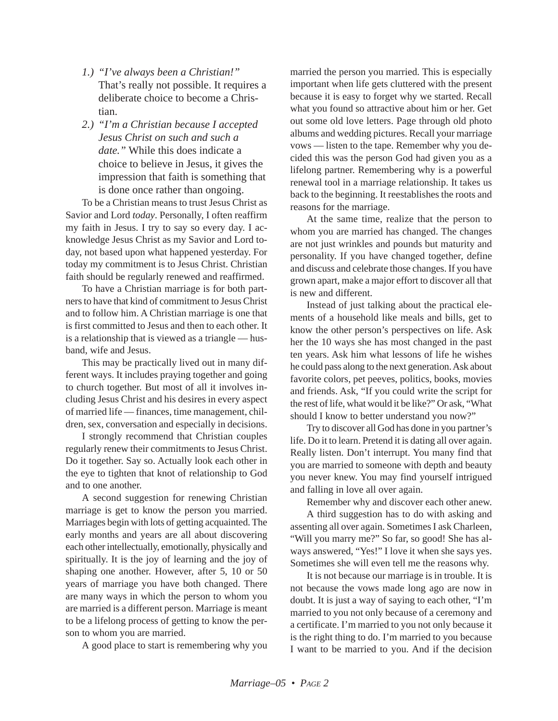- *1.) "I've always been a Christian!"* That's really not possible. It requires a deliberate choice to become a Christian.
- *2.) "I'm a Christian because I accepted Jesus Christ on such and such a date."* While this does indicate a choice to believe in Jesus, it gives the impression that faith is something that is done once rather than ongoing.

To be a Christian means to trust Jesus Christ as Savior and Lord *today*. Personally, I often reaffirm my faith in Jesus. I try to say so every day. I acknowledge Jesus Christ as my Savior and Lord today, not based upon what happened yesterday. For today my commitment is to Jesus Christ. Christian faith should be regularly renewed and reaffirmed.

To have a Christian marriage is for both partners to have that kind of commitment to Jesus Christ and to follow him. A Christian marriage is one that is first committed to Jesus and then to each other. It is a relationship that is viewed as a triangle — husband, wife and Jesus.

This may be practically lived out in many different ways. It includes praying together and going to church together. But most of all it involves including Jesus Christ and his desires in every aspect of married life — finances, time management, children, sex, conversation and especially in decisions.

I strongly recommend that Christian couples regularly renew their commitments to Jesus Christ. Do it together. Say so. Actually look each other in the eye to tighten that knot of relationship to God and to one another.

A second suggestion for renewing Christian marriage is get to know the person you married. Marriages begin with lots of getting acquainted. The early months and years are all about discovering each other intellectually, emotionally, physically and spiritually. It is the joy of learning and the joy of shaping one another. However, after 5, 10 or 50 years of marriage you have both changed. There are many ways in which the person to whom you are married is a different person. Marriage is meant to be a lifelong process of getting to know the person to whom you are married.

A good place to start is remembering why you

married the person you married. This is especially important when life gets cluttered with the present because it is easy to forget why we started. Recall what you found so attractive about him or her. Get out some old love letters. Page through old photo albums and wedding pictures. Recall your marriage vows — listen to the tape. Remember why you decided this was the person God had given you as a lifelong partner. Remembering why is a powerful renewal tool in a marriage relationship. It takes us back to the beginning. It reestablishes the roots and reasons for the marriage.

At the same time, realize that the person to whom you are married has changed. The changes are not just wrinkles and pounds but maturity and personality. If you have changed together, define and discuss and celebrate those changes. If you have grown apart, make a major effort to discover all that is new and different.

Instead of just talking about the practical elements of a household like meals and bills, get to know the other person's perspectives on life. Ask her the 10 ways she has most changed in the past ten years. Ask him what lessons of life he wishes he could pass along to the next generation. Ask about favorite colors, pet peeves, politics, books, movies and friends. Ask, "If you could write the script for the rest of life, what would it be like?" Or ask, "What should I know to better understand you now?"

Try to discover all God has done in you partner's life. Do it to learn. Pretend it is dating all over again. Really listen. Don't interrupt. You many find that you are married to someone with depth and beauty you never knew. You may find yourself intrigued and falling in love all over again.

Remember why and discover each other anew.

A third suggestion has to do with asking and assenting all over again. Sometimes I ask Charleen, "Will you marry me?" So far, so good! She has always answered, "Yes!" I love it when she says yes. Sometimes she will even tell me the reasons why.

It is not because our marriage is in trouble. It is not because the vows made long ago are now in doubt. It is just a way of saying to each other, "I'm married to you not only because of a ceremony and a certificate. I'm married to you not only because it is the right thing to do. I'm married to you because I want to be married to you. And if the decision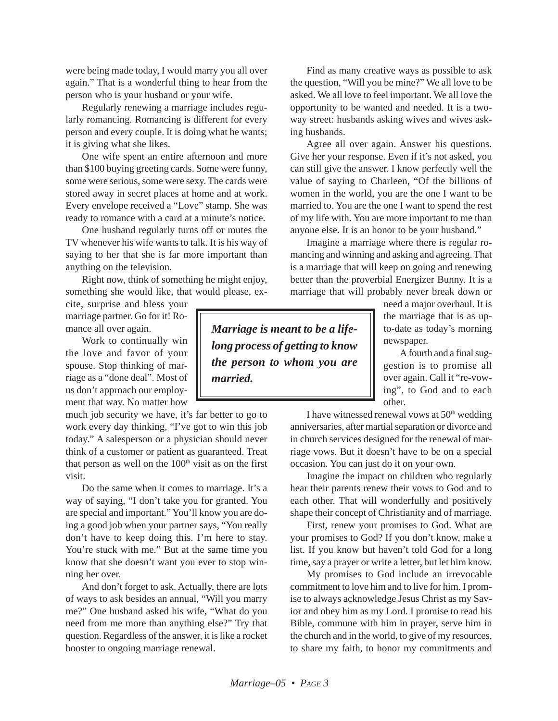were being made today, I would marry you all over again." That is a wonderful thing to hear from the person who is your husband or your wife.

Regularly renewing a marriage includes regularly romancing. Romancing is different for every person and every couple. It is doing what he wants; it is giving what she likes.

One wife spent an entire afternoon and more than \$100 buying greeting cards. Some were funny, some were serious, some were sexy. The cards were stored away in secret places at home and at work. Every envelope received a "Love" stamp. She was ready to romance with a card at a minute's notice.

One husband regularly turns off or mutes the TV whenever his wife wants to talk. It is his way of saying to her that she is far more important than anything on the television.

Right now, think of something he might enjoy, something she would like, that would please, ex-

cite, surprise and bless your marriage partner. Go for it! Romance all over again.

Work to continually win the love and favor of your spouse. Stop thinking of marriage as a "done deal". Most of us don't approach our employment that way. No matter how

much job security we have, it's far better to go to work every day thinking, "I've got to win this job today." A salesperson or a physician should never think of a customer or patient as guaranteed. Treat that person as well on the  $100<sup>th</sup>$  visit as on the first visit.

Do the same when it comes to marriage. It's a way of saying, "I don't take you for granted. You are special and important." You'll know you are doing a good job when your partner says, "You really don't have to keep doing this. I'm here to stay. You're stuck with me." But at the same time you know that she doesn't want you ever to stop winning her over.

And don't forget to ask. Actually, there are lots of ways to ask besides an annual, "Will you marry me?" One husband asked his wife, "What do you need from me more than anything else?" Try that question. Regardless of the answer, it is like a rocket booster to ongoing marriage renewal.

Find as many creative ways as possible to ask the question, "Will you be mine?" We all love to be asked. We all love to feel important. We all love the opportunity to be wanted and needed. It is a twoway street: husbands asking wives and wives asking husbands.

Agree all over again. Answer his questions. Give her your response. Even if it's not asked, you can still give the answer. I know perfectly well the value of saying to Charleen, "Of the billions of women in the world, you are the one I want to be married to. You are the one I want to spend the rest of my life with. You are more important to me than anyone else. It is an honor to be your husband."

Imagine a marriage where there is regular romancing and winning and asking and agreeing. That is a marriage that will keep on going and renewing better than the proverbial Energizer Bunny. It is a marriage that will probably never break down or

*Marriage is meant to be a lifelong process of getting to know the person to whom you are married.*

need a major overhaul. It is the marriage that is as upto-date as today's morning newspaper.

A fourth and a final suggestion is to promise all over again. Call it "re-vowing", to God and to each other.

I have witnessed renewal vows at  $50<sup>th</sup>$  wedding anniversaries, after martial separation or divorce and in church services designed for the renewal of marriage vows. But it doesn't have to be on a special occasion. You can just do it on your own.

Imagine the impact on children who regularly hear their parents renew their vows to God and to each other. That will wonderfully and positively shape their concept of Christianity and of marriage.

First, renew your promises to God. What are your promises to God? If you don't know, make a list. If you know but haven't told God for a long time, say a prayer or write a letter, but let him know.

My promises to God include an irrevocable commitment to love him and to live for him. I promise to always acknowledge Jesus Christ as my Savior and obey him as my Lord. I promise to read his Bible, commune with him in prayer, serve him in the church and in the world, to give of my resources, to share my faith, to honor my commitments and